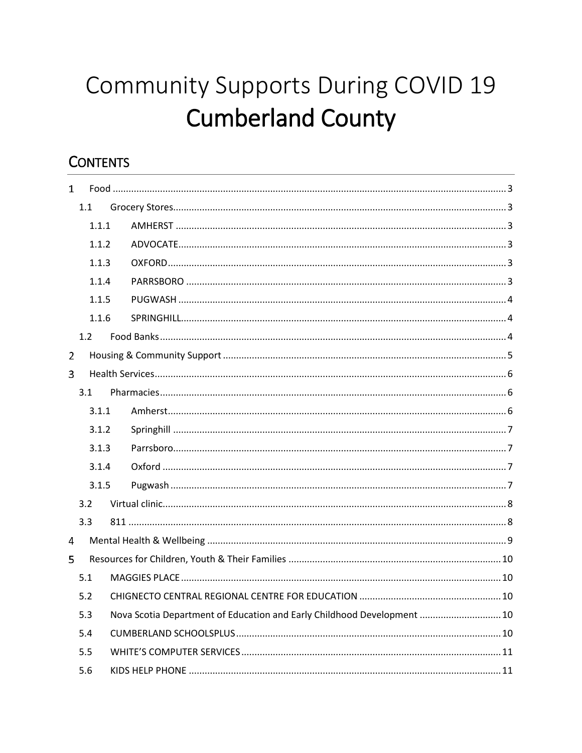# Community Supports During COVID 19 **Cumberland County**

# **CONTENTS**

| $\mathbf{1}$   |       |                                                                         |  |
|----------------|-------|-------------------------------------------------------------------------|--|
|                | 1.1   |                                                                         |  |
|                | 1.1.1 |                                                                         |  |
|                | 1.1.2 |                                                                         |  |
|                | 1.1.3 |                                                                         |  |
|                | 1.1.4 |                                                                         |  |
|                | 1.1.5 |                                                                         |  |
|                | 1.1.6 |                                                                         |  |
|                | 1.2   |                                                                         |  |
| $\overline{2}$ |       |                                                                         |  |
| 3              |       |                                                                         |  |
|                | 3.1   |                                                                         |  |
|                | 3.1.1 |                                                                         |  |
|                | 3.1.2 |                                                                         |  |
|                | 3.1.3 |                                                                         |  |
|                | 3.1.4 |                                                                         |  |
|                | 3.1.5 |                                                                         |  |
|                | 3.2   |                                                                         |  |
|                | 3.3   |                                                                         |  |
| 4              |       |                                                                         |  |
| 5.             |       |                                                                         |  |
|                | 5.1   |                                                                         |  |
|                | 5.2   |                                                                         |  |
|                | 5.3   | Nova Scotia Department of Education and Early Childhood Development  10 |  |
|                | 5.4   |                                                                         |  |
|                | 5.5   |                                                                         |  |
|                | 5.6   |                                                                         |  |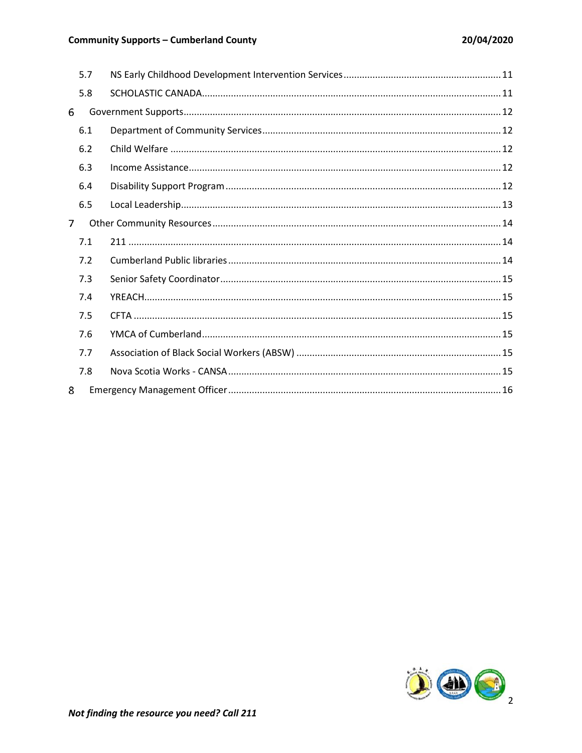#### **Community Supports - Cumberland County**

|   | 5.7 |  |
|---|-----|--|
|   | 5.8 |  |
| 6 |     |  |
|   | 6.1 |  |
|   | 6.2 |  |
|   | 6.3 |  |
|   | 6.4 |  |
|   | 6.5 |  |
| 7 |     |  |
|   | 7.1 |  |
|   | 7.2 |  |
|   | 7.3 |  |
|   | 7.4 |  |
|   | 7.5 |  |
|   | 7.6 |  |
|   | 7.7 |  |
|   | 7.8 |  |
| 8 |     |  |

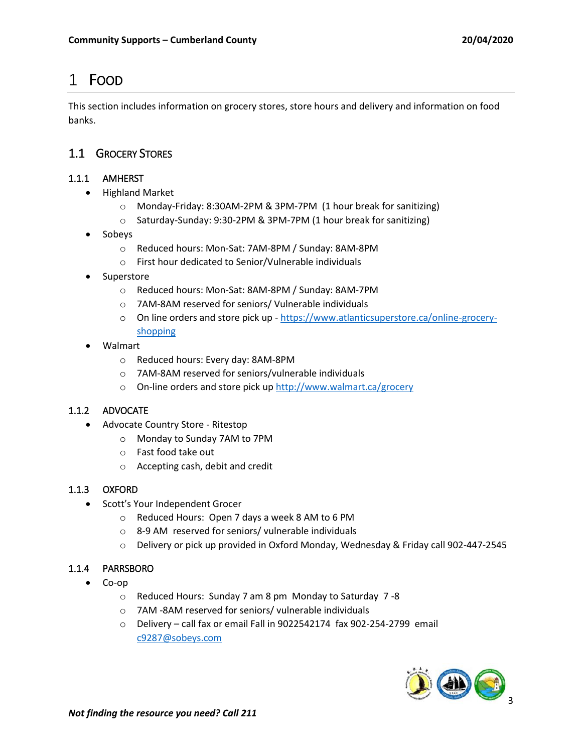# <span id="page-2-0"></span>FOOD

This section includes information on grocery stores, store hours and delivery and information on food banks.

#### <span id="page-2-1"></span>1.1 GROCERY STORES

#### <span id="page-2-2"></span>1.1.1 AMHERST

- Highland Market
	- o Monday-Friday: 8:30AM-2PM & 3PM-7PM (1 hour break for sanitizing)
	- o Saturday-Sunday: 9:30-2PM & 3PM-7PM (1 hour break for sanitizing)
- Sobeys
	- o Reduced hours: Mon-Sat: 7AM-8PM / Sunday: 8AM-8PM
	- o First hour dedicated to Senior/Vulnerable individuals
- Superstore
	- o Reduced hours: Mon-Sat: 8AM-8PM / Sunday: 8AM-7PM
	- o 7AM-8AM reserved for seniors/ Vulnerable individuals
	- o On line orders and store pick up [https://www.atlanticsuperstore.ca/online-grocery](https://www.atlanticsuperstore.ca/online-grocery-shopping)[shopping](https://www.atlanticsuperstore.ca/online-grocery-shopping)
- Walmart
	- o Reduced hours: Every day: 8AM-8PM
	- o 7AM-8AM reserved for seniors/vulnerable individuals
	- o On-line orders and store pick up<http://www.walmart.ca/grocery>

#### <span id="page-2-3"></span>1.1.2 ADVOCATE

- Advocate Country Store Ritestop
	- o Monday to Sunday 7AM to 7PM
	- o Fast food take out
	- o Accepting cash, debit and credit

#### <span id="page-2-4"></span>1.1.3 OXFORD

- Scott's Your Independent Grocer
	- o Reduced Hours: Open 7 days a week 8 AM to 6 PM
	- o 8-9 AM reserved for seniors/ vulnerable individuals
	- $\circ$  Delivery or pick up provided in Oxford Monday, Wednesday & Friday call 902-447-2545

#### <span id="page-2-5"></span>1.1.4 PARRSBORO

- Co-op
	- o Reduced Hours: Sunday 7 am 8 pm Monday to Saturday 7 -8
	- o 7AM -8AM reserved for seniors/ vulnerable individuals
	- o Delivery call fax or email Fall in 9022542174 fax 902-254-2799 email [c9287@sobeys.com](mailto:c9287@sobeys.com)

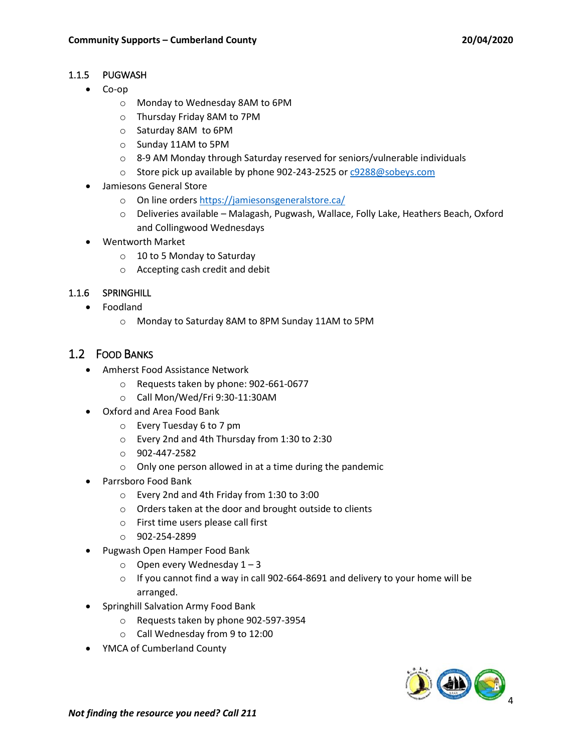#### <span id="page-3-0"></span>1.1.5 PUGWASH

- Co-op
	- o Monday to Wednesday 8AM to 6PM
	- o Thursday Friday 8AM to 7PM
	- o Saturday 8AM to 6PM
	- o Sunday 11AM to 5PM
	- $\circ$  8-9 AM Monday through Saturday reserved for seniors/vulnerable individuals
	- o Store pick up available by phone 902-243-2525 o[r c9288@sobeys.com](mailto:c9288@sobeys.com)
- Jamiesons General Store
	- o On line orders<https://jamiesonsgeneralstore.ca/>
	- o Deliveries available Malagash, Pugwash, Wallace, Folly Lake, Heathers Beach, Oxford and Collingwood Wednesdays
- Wentworth Market
	- o 10 to 5 Monday to Saturday
	- o Accepting cash credit and debit

#### <span id="page-3-1"></span>1.1.6 SPRINGHILL

- Foodland
	- o Monday to Saturday 8AM to 8PM Sunday 11AM to 5PM

#### <span id="page-3-2"></span>1.2 FOOD BANKS

- Amherst Food Assistance Network
	- o Requests taken by phone: 902-661-0677
	- o Call Mon/Wed/Fri 9:30-11:30AM
- Oxford and Area Food Bank
	- o Every Tuesday 6 to 7 pm
	- o Every 2nd and 4th Thursday from 1:30 to 2:30
	- o 902-447-2582
	- o Only one person allowed in at a time during the pandemic
- Parrsboro Food Bank
	- o Every 2nd and 4th Friday from 1:30 to 3:00
	- o Orders taken at the door and brought outside to clients
	- o First time users please call first
	- o 902-254-2899
- Pugwash Open Hamper Food Bank
	- $\circ$  Open every Wednesday 1 3
	- o If you cannot find a way in call 902-664-8691 and delivery to your home will be arranged.
- Springhill Salvation Army Food Bank
	- o Requests taken by phone 902-597-3954
	- o Call Wednesday from 9 to 12:00
- YMCA of Cumberland County

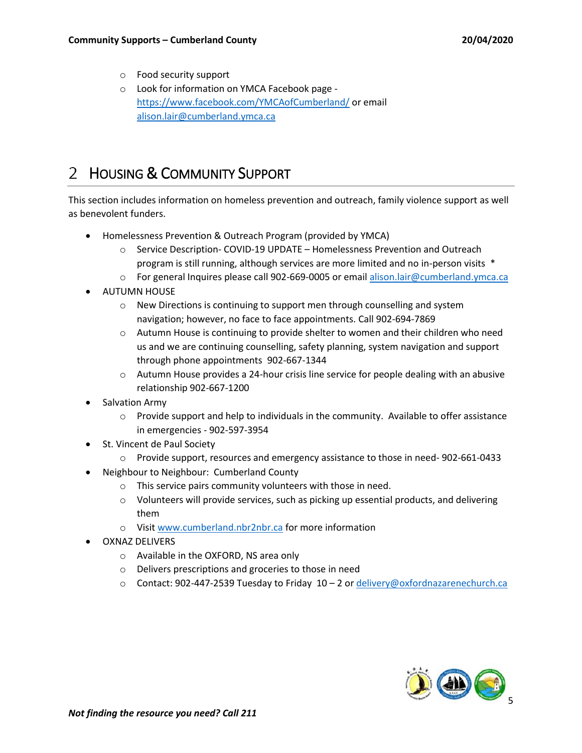- o Food security support
- o Look for information on YMCA Facebook page <https://www.facebook.com/YMCAofCumberland/> or email [alison.lair@cumberland.ymca.ca](mailto:alison.lair@cumberland.ymca.ca)

# <span id="page-4-0"></span>HOUSING & COMMUNITY SUPPORT

This section includes information on homeless prevention and outreach, family violence support as well as benevolent funders.

- Homelessness Prevention & Outreach Program (provided by YMCA)
	- o Service Description- COVID-19 UPDATE Homelessness Prevention and Outreach program is still running, although services are more limited and no in-person visits \*
	- o For general Inquires please call 902-669-0005 or email [alison.lair@cumberland.ymca.ca](mailto:alison.lair@cumberland.ymca.ca)
- AUTUMN HOUSE
	- $\circ$  New Directions is continuing to support men through counselling and system navigation; however, no face to face appointments. Call 902-694-7869
	- o Autumn House is continuing to provide shelter to women and their children who need us and we are continuing counselling, safety planning, system navigation and support through phone appointments 902-667-1344
	- o Autumn House provides a 24-hour crisis line service for people dealing with an abusive relationship 902-667-1200
- Salvation Army
	- $\circ$  Provide support and help to individuals in the community. Available to offer assistance in emergencies - 902-597-3954
- St. Vincent de Paul Society
	- o Provide support, resources and emergency assistance to those in need- 902-661-0433
- Neighbour to Neighbour: Cumberland County
	- o This service pairs community volunteers with those in need.
	- o Volunteers will provide services, such as picking up essential products, and delivering them
	- o Visit [www.cumberland.nbr2nbr.ca](http://www.cumberland.nbr2nbr.ca/) for more information
- OXNAZ DELIVERS
	- o Available in the OXFORD, NS area only
	- o Delivers prescriptions and groceries to those in need
	- o Contact: 902-447-2539 Tuesday to Friday 10 2 o[r delivery@oxfordnazarenechurch.ca](mailto:delivery@oxfordnazarenechurch.ca)

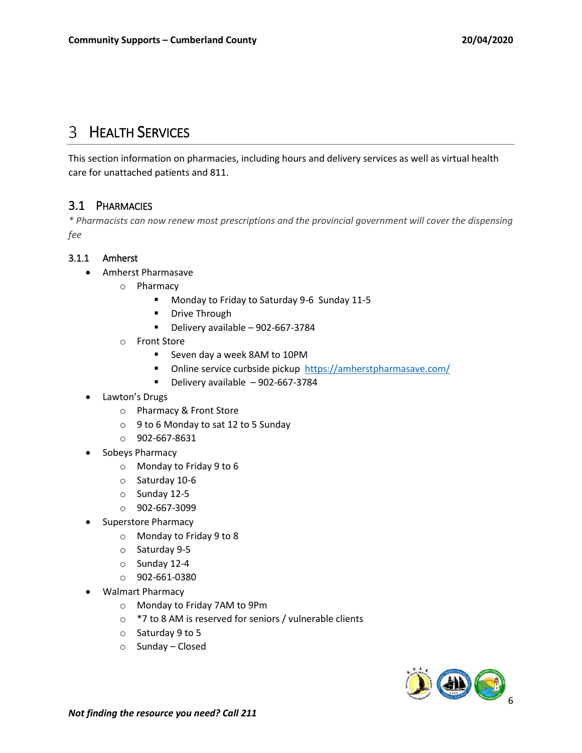# <span id="page-5-0"></span>**3** HEALTH SERVICES

This section information on pharmacies, including hours and delivery services as well as virtual health care for unattached patients and 811.

#### <span id="page-5-1"></span>3.1 PHARMACIES

*\* Pharmacists can now renew most prescriptions and the provincial government will cover the dispensing fee*

#### <span id="page-5-2"></span>3.1.1 Amherst

- Amherst Pharmasave
	- o Pharmacy
		- **Monday to Friday to Saturday 9-6 Sunday 11-5**
		- **Drive Through**
		- Delivery available 902-667-3784
	- o Front Store
		- Seven day a week 8AM to 10PM
		- Online service curbside pickup<https://amherstpharmasave.com/>
		- $\blacksquare$  Delivery available 902-667-3784
- Lawton's Drugs
	- o Pharmacy & Front Store
	- o 9 to 6 Monday to sat 12 to 5 Sunday
	- o 902-667-8631
- Sobeys Pharmacy
	- o Monday to Friday 9 to 6
	- o Saturday 10-6
	- o Sunday 12-5
	- o 902-667-3099
- Superstore Pharmacy
	- o Monday to Friday 9 to 8
	- o Saturday 9-5
	- o Sunday 12-4
	- o 902-661-0380
- Walmart Pharmacy
	- o Monday to Friday 7AM to 9Pm
	- o \*7 to 8 AM is reserved for seniors / vulnerable clients
	- o Saturday 9 to 5
	- o Sunday Closed

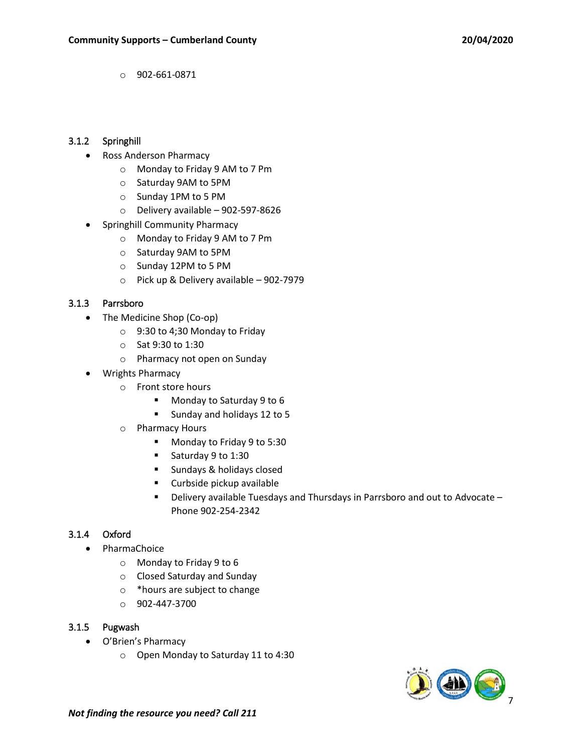o 902-661-0871

#### <span id="page-6-0"></span>3.1.2 Springhill

- Ross Anderson Pharmacy
	- o Monday to Friday 9 AM to 7 Pm
	- o Saturday 9AM to 5PM
	- o Sunday 1PM to 5 PM
	- $\circ$  Delivery available 902-597-8626
- Springhill Community Pharmacy
	- o Monday to Friday 9 AM to 7 Pm
	- o Saturday 9AM to 5PM
	- o Sunday 12PM to 5 PM
	- o Pick up & Delivery available 902-7979

#### <span id="page-6-1"></span>3.1.3 Parrsboro

- The Medicine Shop (Co-op)
	- o 9:30 to 4;30 Monday to Friday
	- o Sat 9:30 to 1:30
	- o Pharmacy not open on Sunday
- Wrights Pharmacy
	- o Front store hours
		- Monday to Saturday 9 to 6
		- Sunday and holidays 12 to 5
	- o Pharmacy Hours
		- Monday to Friday 9 to 5:30
		- Saturday 9 to 1:30
		- **Sundays & holidays closed**
		- **Curbside pickup available**
		- Delivery available Tuesdays and Thursdays in Parrsboro and out to Advocate Phone 902-254-2342

#### <span id="page-6-2"></span>3.1.4 Oxford

- PharmaChoice
	- o Monday to Friday 9 to 6
	- o Closed Saturday and Sunday
	- o \*hours are subject to change
	- $O = 902 447 3700$

#### <span id="page-6-3"></span>3.1.5 Pugwash

- O'Brien's Pharmacy
	- o Open Monday to Saturday 11 to 4:30

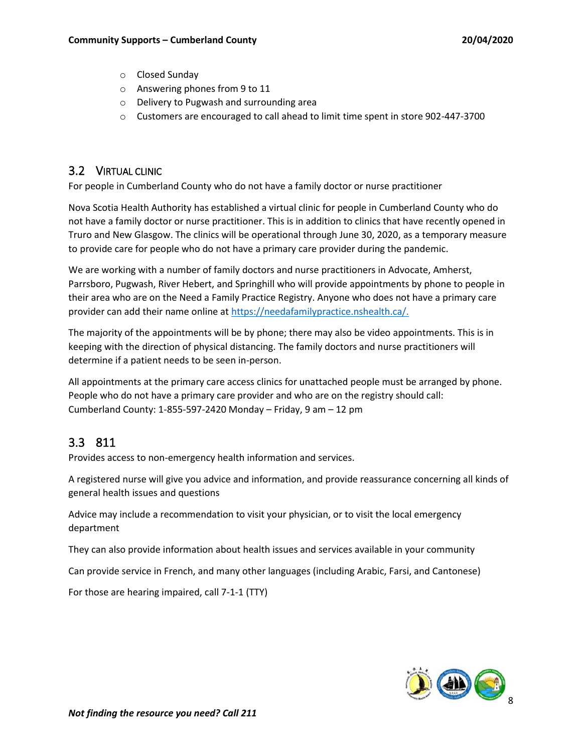- o Closed Sunday
- o Answering phones from 9 to 11
- o Delivery to Pugwash and surrounding area
- $\circ$  Customers are encouraged to call ahead to limit time spent in store 902-447-3700

#### <span id="page-7-0"></span>3.2 VIRTUAL CLINIC

For people in Cumberland County who do not have a family doctor or nurse practitioner

Nova Scotia Health Authority has established a virtual clinic for people in Cumberland County who do not have a family doctor or nurse practitioner. This is in addition to clinics that have recently opened in Truro and New Glasgow. The clinics will be operational through June 30, 2020, as a temporary measure to provide care for people who do not have a primary care provider during the pandemic.

We are working with a number of family doctors and nurse practitioners in Advocate, Amherst, Parrsboro, Pugwash, River Hebert, and Springhill who will provide appointments by phone to people in their area who are on the Need a Family Practice Registry. Anyone who does not have a primary care provider can add their name online at [https://needafamilypractice.nshealth.ca/.](https://needafamilypractice.nshealth.ca/)

The majority of the appointments will be by phone; there may also be video appointments. This is in keeping with the direction of physical distancing. The family doctors and nurse practitioners will determine if a patient needs to be seen in-person.

All appointments at the primary care access clinics for unattached people must be arranged by phone. People who do not have a primary care provider and who are on the registry should call: Cumberland County: 1-855-597-2420 Monday – Friday, 9 am – 12 pm

# <span id="page-7-1"></span>3.3 811

Provides access to non-emergency health information and services.

A registered nurse will give you advice and information, and provide reassurance concerning all kinds of general health issues and questions

Advice may include a recommendation to visit your physician, or to visit the local emergency department

They can also provide information about health issues and services available in your community

Can provide service in French, and many other languages (including Arabic, Farsi, and Cantonese)

For those are hearing impaired, call 7-1-1 (TTY)

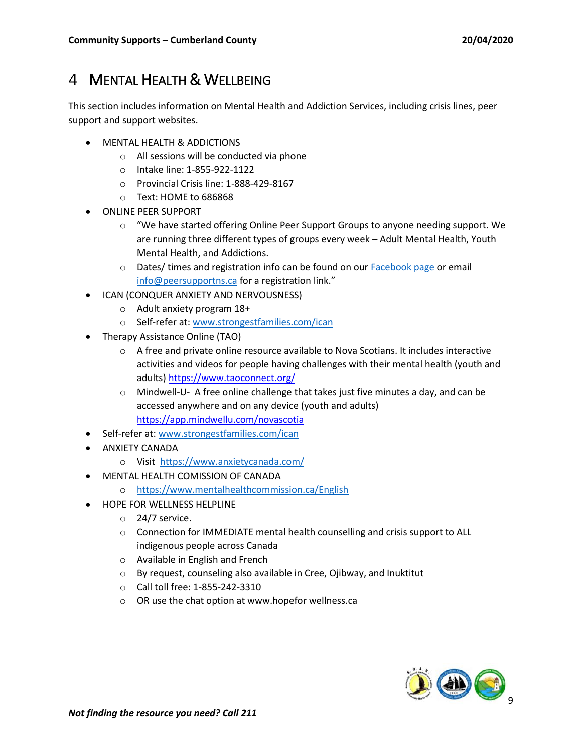# <span id="page-8-0"></span>MENTAL HEALTH & WELLBEING

This section includes information on Mental Health and Addiction Services, including crisis lines, peer support and support websites.

- MENTAL HEALTH & ADDICTIONS
	- o All sessions will be conducted via phone
	- o Intake line: 1-855-922-1122
	- o Provincial Crisis line: 1-888-429-8167
	- o Text: HOME to 686868
- ONLINE PEER SUPPORT
	- $\circ$  "We have started offering Online Peer Support Groups to anyone needing support. We are running three different types of groups every week – Adult Mental Health, Youth Mental Health, and Addictions.
	- o Dates/ times and registration info can be found on our **Facebook page or email** [info@peersupportns.ca](mailto:info@peersupportns.ca) for a registration link."
- ICAN (CONQUER ANXIETY AND NERVOUSNESS)
	- o Adult anxiety program 18+
	- o Self-refer at[: www.strongestfamilies.com/ican](http://www.strongestfamilies.com/ican)
- Therapy Assistance Online (TAO)
	- $\circ$  A free and private online resource available to Nova Scotians. It includes interactive activities and videos for people having challenges with their mental health (youth and adults) <https://www.taoconnect.org/>
	- $\circ$  Mindwell-U- A free online challenge that takes just five minutes a day, and can be accessed anywhere and on any device (youth and adults) <https://app.mindwellu.com/novascotia>
- Self-refer at[: www.strongestfamilies.com/ican](http://www.strongestfamilies.com/ican)
- **ANXIETY CANADA** 
	- o Visit <https://www.anxietycanada.com/>
- MENTAL HEALTH COMISSION OF CANADA
	- o <https://www.mentalhealthcommission.ca/English>
- HOPE FOR WELLNESS HELPLINE
	- o 24/7 service.
	- o Connection for IMMEDIATE mental health counselling and crisis support to ALL indigenous people across Canada
	- o Available in English and French
	- o By request, counseling also available in Cree, Ojibway, and Inuktitut
	- o Call toll free: 1-855-242-3310
	- o OR use the chat option at www.hopefor wellness.ca

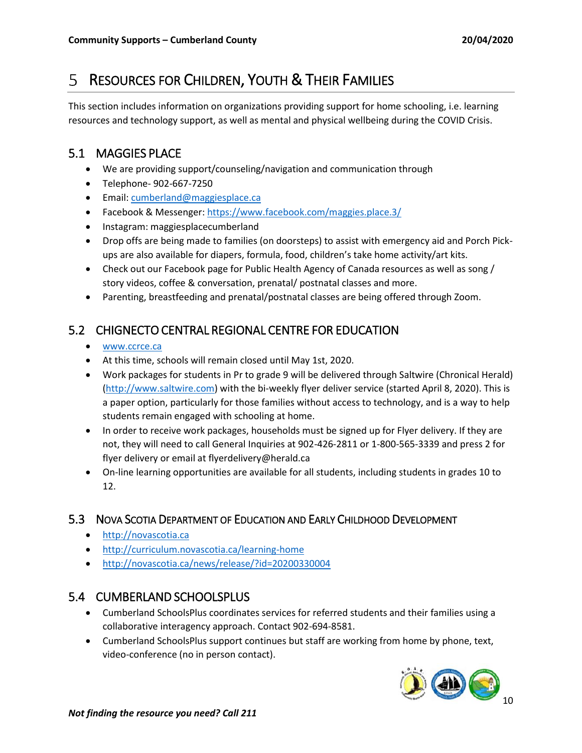# <span id="page-9-0"></span>RESOURCES FOR CHILDREN, YOUTH & THEIR FAMILIES

This section includes information on organizations providing support for home schooling, i.e. learning resources and technology support, as well as mental and physical wellbeing during the COVID Crisis.

### <span id="page-9-1"></span>5.1 MAGGIES PLACE

- We are providing support/counseling/navigation and communication through
- Telephone- 902-667-7250
- **Email: [cumberland@maggiesplace.ca](mailto:cumberland@maggiesplace.ca)**
- Facebook & Messenger: <https://www.facebook.com/maggies.place.3/>
- Instagram: maggiesplacecumberland
- Drop offs are being made to families (on doorsteps) to assist with emergency aid and Porch Pickups are also available for diapers, formula, food, children's take home activity/art kits.
- Check out our Facebook page for Public Health Agency of Canada resources as well as song / story videos, coffee & conversation, prenatal/ postnatal classes and more.
- Parenting, breastfeeding and prenatal/postnatal classes are being offered through Zoom.

# <span id="page-9-2"></span>5.2 CHIGNECTO CENTRAL REGIONAL CENTRE FOR EDUCATION

- [www.ccrce.ca](http://www.ccrce.ca/)
- At this time, schools will remain closed until May 1st, 2020.
- Work packages for students in Pr to grade 9 will be delivered through Saltwire (Chronical Herald) [\(http://www.saltwire.com\)](http://www.saltwire.com/) with the bi-weekly flyer deliver service (started April 8, 2020). This is a paper option, particularly for those families without access to technology, and is a way to help students remain engaged with schooling at home.
- In order to receive work packages, households must be signed up for Flyer delivery. If they are not, they will need to call General Inquiries at 902-426-2811 or 1-800-565-3339 and press 2 for flyer delivery or email at flyerdelivery@herald.ca
- On-line learning opportunities are available for all students, including students in grades 10 to 12.

#### <span id="page-9-3"></span>5.3 NOVA SCOTIA DEPARTMENT OF EDUCATION AND EARLY CHILDHOOD DEVELOPMENT

- [http://novascotia.ca](http://novascotia.ca/)
- <http://curriculum.novascotia.ca/learning-home>
- <http://novascotia.ca/news/release/?id=20200330004>

# <span id="page-9-4"></span>5.4 CUMBERLAND SCHOOLSPLUS

- Cumberland SchoolsPlus coordinates services for referred students and their families using a collaborative interagency approach. Contact 902-694-8581.
- Cumberland SchoolsPlus support continues but staff are working from home by phone, text, video-conference (no in person contact).

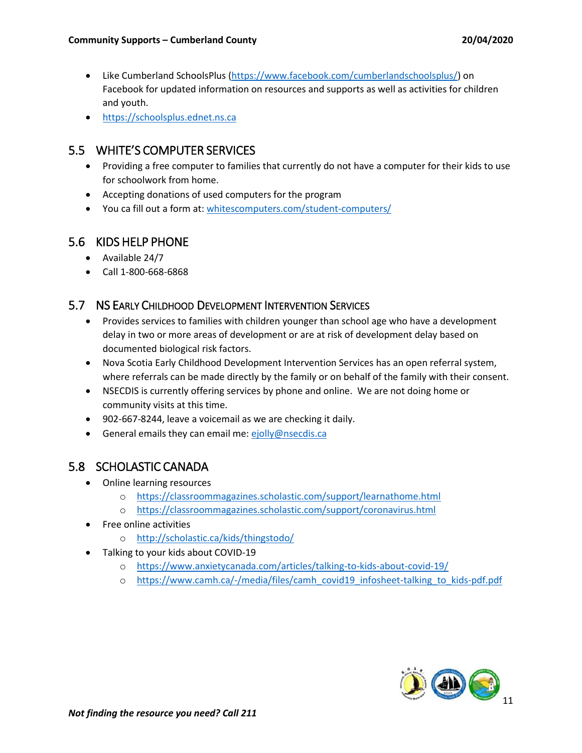- Like Cumberland SchoolsPlus [\(https://www.facebook.com/cumberlandschoolsplus/\)](https://www.facebook.com/cumberlandschoolsplus/) on Facebook for updated information on resources and supports as well as activities for children and youth.
- [https://schoolsplus.ednet.ns.ca](https://schoolsplus.ednet.ns.ca/)

### <span id="page-10-0"></span>5.5 WHITE'S COMPUTER SERVICES

- Providing a free computer to families that currently do not have a computer for their kids to use for schoolwork from home.
- Accepting donations of used computers for the program
- You ca fill out a form at: [whitescomputers.com/student-computers/](http://whitescomputers.com/student-computers/?fbclid=IwAR33E7LSCI6MyvH70J-2Dn1uFsbD1agitYQwBYz-VcGSRGMeVvOgXcJV4_w)

### <span id="page-10-1"></span>5.6 KIDS HELP PHONE

- Available 24/7
- Call 1-800-668-6868

### <span id="page-10-2"></span>5.7 NS EARLY CHILDHOOD DEVELOPMENT INTERVENTION SERVICES

- Provides services to families with children younger than school age who have a development delay in two or more areas of development or are at risk of development delay based on documented biological risk factors.
- Nova Scotia Early Childhood Development Intervention Services has an open referral system, where referrals can be made directly by the family or on behalf of the family with their consent.
- NSECDIS is currently offering services by phone and online. We are not doing home or community visits at this time.
- 902-667-8244, leave a voicemail as we are checking it daily.
- General emails they can email me: [ejolly@nsecdis.ca](mailto:ejolly@nsecdis.ca)

### <span id="page-10-3"></span>5.8 SCHOLASTIC CANADA

- Online learning resources
	- o <https://classroommagazines.scholastic.com/support/learnathome.html>
	- o <https://classroommagazines.scholastic.com/support/coronavirus.html>
- Free online activities
	- o <http://scholastic.ca/kids/thingstodo/>
- Talking to your kids about COVID-19
	- o <https://www.anxietycanada.com/articles/talking-to-kids-about-covid-19/>
	- o [https://www.camh.ca/-/media/files/camh\\_covid19\\_infosheet-talking\\_to\\_kids-pdf.pdf](https://www.camh.ca/-/media/files/camh_covid19_infosheet-talking_to_kids-pdf.pdf)

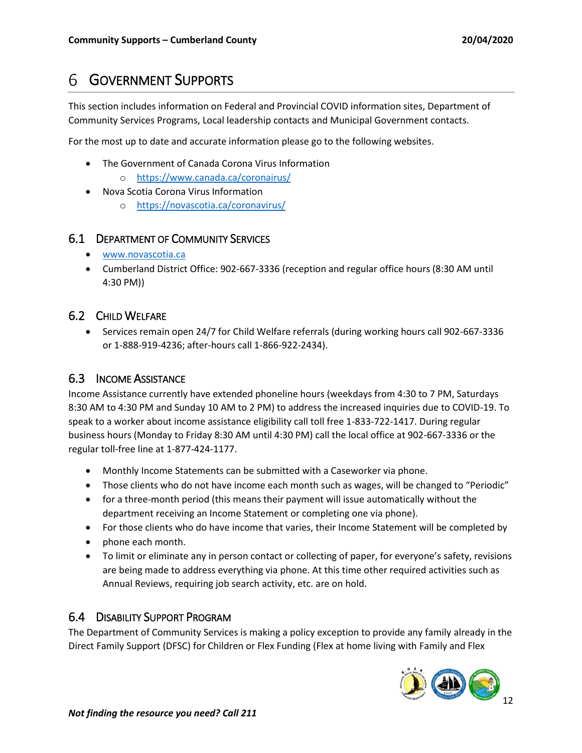# <span id="page-11-0"></span>GOVERNMENT SUPPORTS

This section includes information on Federal and Provincial COVID information sites, Department of Community Services Programs, Local leadership contacts and Municipal Government contacts.

For the most up to date and accurate information please go to the following websites.

- The Government of Canada Corona Virus Information
	- o <https://www.canada.ca/coronairus/>
- Nova Scotia Corona Virus Information
	- o <https://novascotia.ca/coronavirus/>

#### <span id="page-11-1"></span>6.1 DEPARTMENT OF COMMUNITY SERVICES

- [www.novascotia.ca](http://www.novascotia.ca/)
- Cumberland District Office: 902-667-3336 (reception and regular office hours (8:30 AM until 4:30 PM))

#### <span id="page-11-2"></span>6.2 CHILD WELFARE

 Services remain open 24/7 for Child Welfare referrals (during working hours call 902-667-3336 or 1-888-919-4236; after-hours call 1-866-922-2434).

#### <span id="page-11-3"></span>6.3 INCOME ASSISTANCE

Income Assistance currently have extended phoneline hours (weekdays from 4:30 to 7 PM, Saturdays 8:30 AM to 4:30 PM and Sunday 10 AM to 2 PM) to address the increased inquiries due to COVID-19. To speak to a worker about income assistance eligibility call toll free 1-833-722-1417. During regular business hours (Monday to Friday 8:30 AM until 4:30 PM) call the local office at 902-667-3336 or the regular toll-free line at 1-877-424-1177.

- Monthly Income Statements can be submitted with a Caseworker via phone.
- Those clients who do not have income each month such as wages, will be changed to "Periodic"
- for a three-month period (this means their payment will issue automatically without the department receiving an Income Statement or completing one via phone).
- For those clients who do have income that varies, their Income Statement will be completed by
- phone each month.
- To limit or eliminate any in person contact or collecting of paper, for everyone's safety, revisions are being made to address everything via phone. At this time other required activities such as Annual Reviews, requiring job search activity, etc. are on hold.

#### <span id="page-11-4"></span>6.4 DISABILITY SUPPORT PROGRAM

The Department of Community Services is making a policy exception to provide any family already in the Direct Family Support (DFSC) for Children or Flex Funding (Flex at home living with Family and Flex

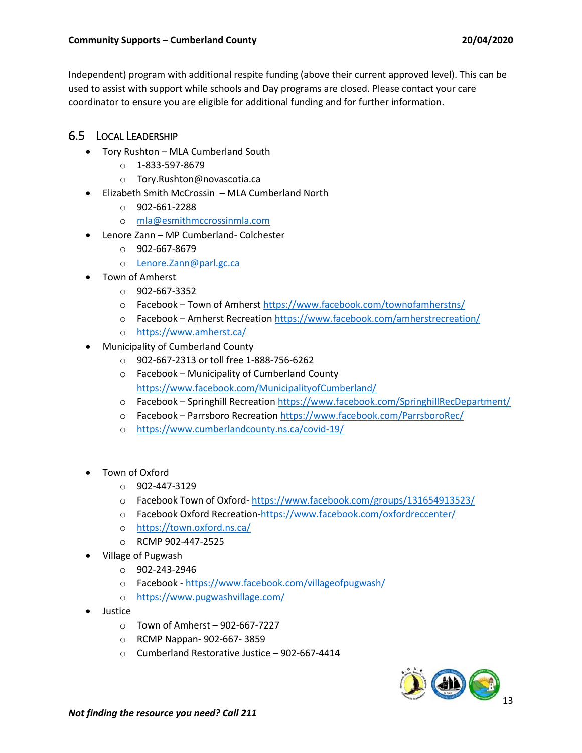#### **Community Supports – Cumberland County 20/04/2020**

Independent) program with additional respite funding (above their current approved level). This can be used to assist with support while schools and Day programs are closed. Please contact your care coordinator to ensure you are eligible for additional funding and for further information.

### <span id="page-12-0"></span>6.5 LOCAL LEADERSHIP

- Tory Rushton MLA Cumberland South
	- o 1-833-597-8679
	- o Tory.Rushton@novascotia.ca
- Elizabeth Smith McCrossin MLA Cumberland North
	- o 902-661-2288
	- o [mla@esmithmccrossinmla.com](mailto:mla@esmithmccrossinmla.com)
- Lenore Zann MP Cumberland- Colchester
	- $O$  902-667-8679
	- o [Lenore.Zann@parl.gc.ca](mailto:Lenore.Zann@parl.gc.ca)
	- Town of Amherst
		- o 902-667-3352
		- o Facebook Town of Amherst<https://www.facebook.com/townofamherstns/>
		- o Facebook Amherst Recreation<https://www.facebook.com/amherstrecreation/>
		- o <https://www.amherst.ca/>
- Municipality of Cumberland County
	- o 902-667-2313 or toll free 1-888-756-6262
	- o Facebook Municipality of Cumberland County <https://www.facebook.com/MunicipalityofCumberland/>
	- o Facebook Springhill Recreation<https://www.facebook.com/SpringhillRecDepartment/>
	- o Facebook Parrsboro Recreation<https://www.facebook.com/ParrsboroRec/>
	- o <https://www.cumberlandcounty.ns.ca/covid-19/>
- Town of Oxford
	- o 902-447-3129
	- o Facebook Town of Oxford- <https://www.facebook.com/groups/131654913523/>
	- o Facebook Oxford Recreation[-https://www.facebook.com/oxfordreccenter/](https://www.facebook.com/oxfordreccenter/)
	- o <https://town.oxford.ns.ca/>
	- o RCMP 902-447-2525
- Village of Pugwash
	- o 902-243-2946
	- o Facebook <https://www.facebook.com/villageofpugwash/>
	- o <https://www.pugwashvillage.com/>
- **•** Justice
	- o Town of Amherst 902-667-7227
	- o RCMP Nappan- 902-667- 3859
	- o Cumberland Restorative Justice 902-667-4414

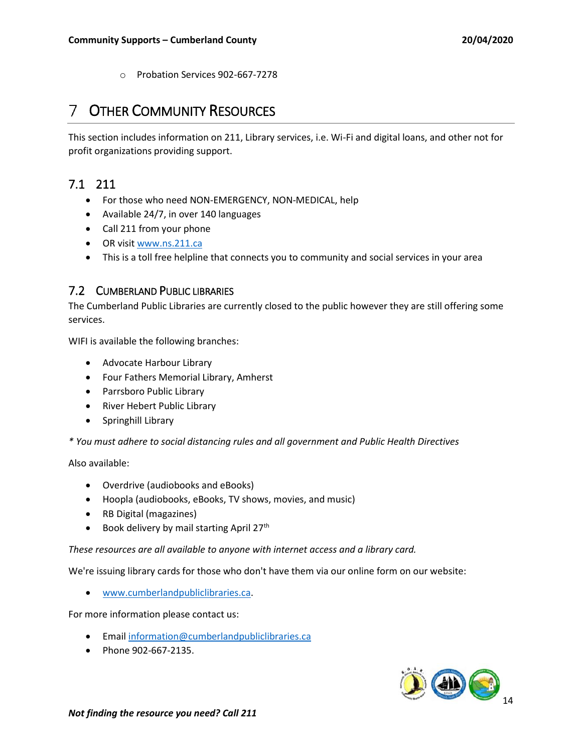o Probation Services 902-667-7278

# <span id="page-13-0"></span>OTHER COMMUNITY RESOURCES

This section includes information on 211, Library services, i.e. Wi-Fi and digital loans, and other not for profit organizations providing support.

# <span id="page-13-1"></span>7.1 211

- For those who need NON-EMERGENCY, NON-MEDICAL, help
- Available 24/7, in over 140 languages
- Call 211 from your phone
- OR visit [www.ns.211.ca](http://www.ns.211.ca/)
- This is a toll free helpline that connects you to community and social services in your area

#### <span id="page-13-2"></span>7.2 CUMBERLAND PUBLIC LIBRARIES

The Cumberland Public Libraries are currently closed to the public however they are still offering some services.

WIFI is available the following branches:

- Advocate Harbour Library
- Four Fathers Memorial Library, Amherst
- Parrsboro Public Library
- River Hebert Public Library
- Springhill Library

*\* You must adhere to social distancing rules and all government and Public Health Directives* 

Also available:

- Overdrive (audiobooks and eBooks)
- Hoopla (audiobooks, eBooks, TV shows, movies, and music)
- RB Digital (magazines)
- $\bullet$  Book delivery by mail starting April 27<sup>th</sup>

*These resources are all available to anyone with internet access and a library card.* 

We're issuing library cards for those who don't have them via our online form on our website:

[www.cumberlandpubliclibraries.ca.](http://www.cumberlandpubliclibraries.ca/)

For more information please contact us:

- **•** Email [information@cumberlandpubliclibraries.ca](mailto:information@cumberlandpubliclibraries.ca)
- Phone 902-667-2135.

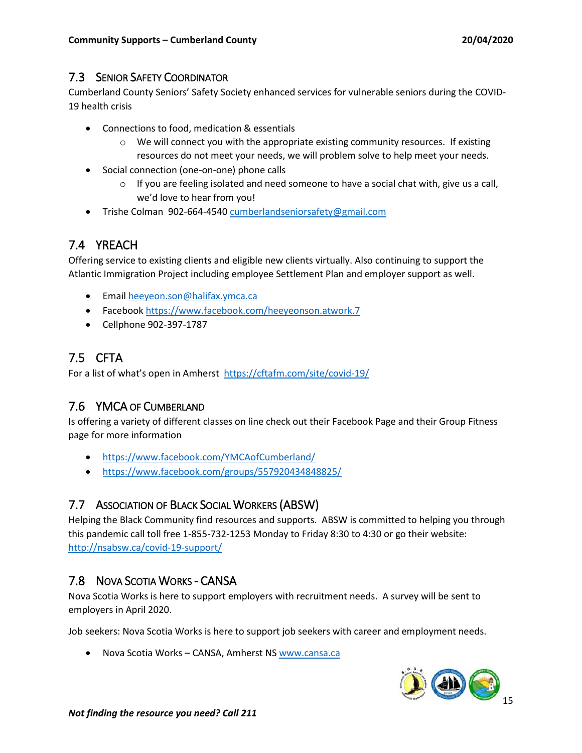#### <span id="page-14-0"></span>7.3 SENIOR SAFETY COORDINATOR

Cumberland County Seniors' Safety Society enhanced services for vulnerable seniors during the COVID-19 health crisis

- Connections to food, medication & essentials
	- $\circ$  We will connect you with the appropriate existing community resources. If existing resources do not meet your needs, we will problem solve to help meet your needs.
- Social connection (one-on-one) phone calls
	- $\circ$  If you are feeling isolated and need someone to have a social chat with, give us a call, we'd love to hear from you!
- Trishe Colman 902-664-454[0 cumberlandseniorsafety@gmail.com](mailto:cumberlandseniorsafety@gmail.com)

# <span id="page-14-1"></span>7.4 YREACH

Offering service to existing clients and eligible new clients virtually. Also continuing to support the Atlantic Immigration Project including employee Settlement Plan and employer support as well.

- **Email [heeyeon.son@halifax.ymca.ca](mailto:heeyeon.son@halifax.ymca.ca)**
- Facebook <https://www.facebook.com/heeyeonson.atwork.7>
- Cellphone 902-397-1787

# <span id="page-14-2"></span>7.5 CFTA

For a list of what's open in Amherst <https://cftafm.com/site/covid-19/>

### <span id="page-14-3"></span>7.6 YMCA OF CUMBERLAND

Is offering a variety of different classes on line check out their Facebook Page and their Group Fitness page for more information

- <https://www.facebook.com/YMCAofCumberland/>
- <https://www.facebook.com/groups/557920434848825/>

### <span id="page-14-4"></span>7.7 ASSOCIATION OF BLACK SOCIAL WORKERS (ABSW)

Helping the Black Community find resources and supports. ABSW is committed to helping you through this pandemic call toll free 1-855-732-1253 Monday to Friday 8:30 to 4:30 or go their website: <http://nsabsw.ca/covid-19-support/>

### <span id="page-14-5"></span>7.8 NOVA SCOTIA WORKS - CANSA

Nova Scotia Works is here to support employers with recruitment needs. A survey will be sent to employers in April 2020.

Job seekers: Nova Scotia Works is here to support job seekers with career and employment needs.

• Nova Scotia Works - CANSA, Amherst N[S www.cansa.ca](http://www.cansa.ca/)